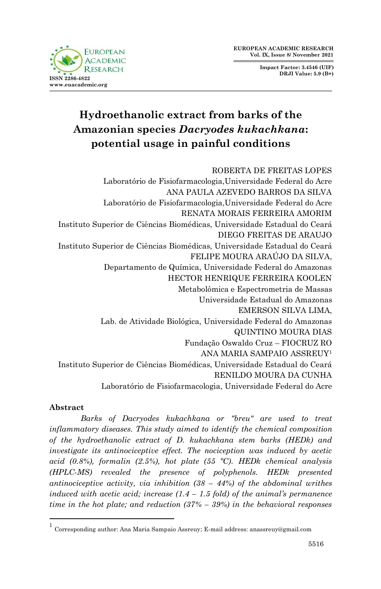**FUROPEAN ACADEMIC RESEARCH ISSN 2286-4822 www.euacademic.org**

**Impact Factor: 3.4546 (UIF) DRJI Value: 5.9 (B+)**

# **Hydroethanolic extract from barks of the Amazonian species** *Dacryodes kukachkana***: potential usage in painful conditions**

ROBERTA DE FREITAS LOPES Laboratório de Fisiofarmacologia,Universidade Federal do Acre ANA PAULA AZEVEDO BARROS DA SILVA Laboratório de Fisiofarmacologia,Universidade Federal do Acre RENATA MORAIS FERREIRA AMORIM Instituto Superior de Ciências Biomédicas, Universidade Estadual do Ceará DIEGO FREITAS DE ARAUJO Instituto Superior de Ciências Biomédicas, Universidade Estadual do Ceará FELIPE MOURA ARAÚJO DA SILVA, Departamento de Química, Universidade Federal do Amazonas HECTOR HENRIQUE FERREIRA KOOLEN Metabolômica e Espectrometria de Massas Universidade Estadual do Amazonas EMERSON SILVA LIMA, Lab. de Atividade Biológica, Universidade Federal do Amazonas QUINTINO MOURA DIAS Fundação Oswaldo Cruz – FIOCRUZ RO ANA MARIA SAMPAIO ASSREUY<sup>1</sup> Instituto Superior de Ciências Biomédicas, Universidade Estadual do Ceará RENILDO MOURA DA CUNHA Laboratório de Fisiofarmacologia, Universidade Federal do Acre

#### **Abstract**

1

*Barks of Dacryodes kukachkana or "breu" are used to treat inflammatory diseases. This study aimed to identify the chemical composition of the hydroethanolic extract of D. kukachkana stem barks (HEDk) and investigate its antinociceptive effect. The nociception was induced by acetic acid (0.8%), formalin (2.5%), hot plate (55 ºC). HEDk chemical analysis (HPLC-MS) revealed the presence of polyphenols. HEDk presented antinociceptive activity, via inhibition (38 – 44%) of the abdominal writhes induced with acetic acid; increase (1.4 – 1.5 fold) of the animal's permanence time in the hot plate; and reduction (37% – 39%) in the behavioral responses* 

<sup>1</sup> Corresponding author: Ana Maria Sampaio Assreuy; E-mail address: anassreuy@gmail.com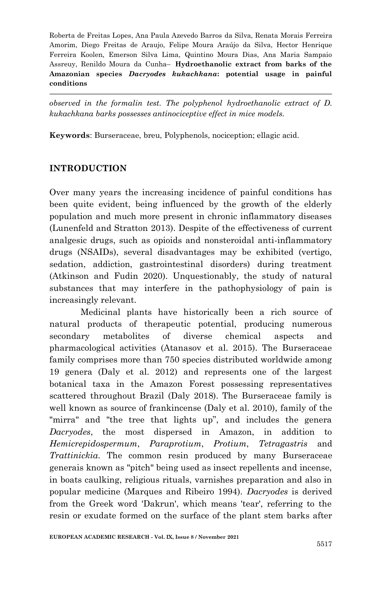*observed in the formalin test. The polyphenol hydroethanolic extract of D. kukachkana barks possesses antinociceptive effect in mice models.* 

**Keywords**: Burseraceae, breu, Polyphenols, nociception; ellagic acid.

#### **INTRODUCTION**

Over many years the increasing incidence of painful conditions has been quite evident, being influenced by the growth of the elderly population and much more present in chronic inflammatory diseases (Lunenfeld and Stratton 2013). Despite of the effectiveness of current analgesic drugs, such as opioids and nonsteroidal anti-inflammatory drugs (NSAIDs), several disadvantages may be exhibited (vertigo, sedation, addiction, gastrointestinal disorders) during treatment (Atkinson and Fudin 2020). Unquestionably, the study of natural substances that may interfere in the pathophysiology of pain is increasingly relevant.

Medicinal plants have historically been a rich source of natural products of therapeutic potential, producing numerous secondary metabolites of diverse chemical aspects and pharmacological activities (Atanasov et al. 2015). The Burseraceae family comprises more than 750 species distributed worldwide among 19 genera (Daly et al. 2012) and represents one of the largest botanical taxa in the Amazon Forest possessing representatives scattered throughout Brazil (Daly 2018). The Burseraceae family is well known as source of frankincense (Daly et al. 2010), family of the "mirra" and "the tree that lights up", and includes the genera *Dacryodes*, the most dispersed in Amazon, in addition to *Hemicrepidospermum*, *Paraprotium*, *Protium*, *Tetragastris* and *Trattinickia*. The common resin produced by many Burseraceae generais known as "pitch" being used as insect repellents and incense, in boats caulking, religious rituals, varnishes preparation and also in popular medicine (Marques and Ribeiro 1994). *Dacryodes* is derived from the Greek word 'Dakrun', which means 'tear', referring to the resin or exudate formed on the surface of the plant stem barks after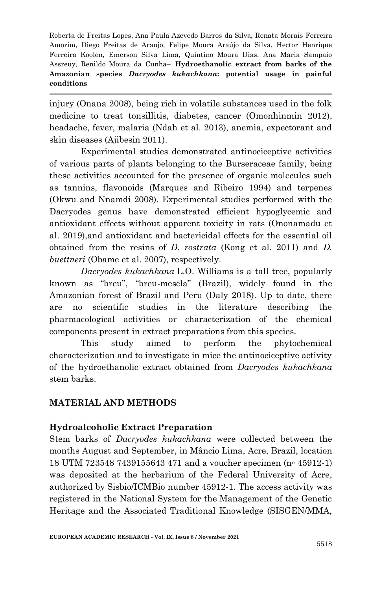injury (Onana 2008), being rich in volatile substances used in the folk medicine to treat tonsillitis, diabetes, cancer (Omonhinmin 2012), headache, fever, malaria (Ndah et al. 2013), anemia, expectorant and skin diseases (Ajibesin 2011).

Experimental studies demonstrated antinociceptive activities of various parts of plants belonging to the Burseraceae family, being these activities accounted for the presence of organic molecules such as tannins, flavonoids (Marques and Ribeiro 1994) and terpenes (Okwu and Nnamdi 2008). Experimental studies performed with the Dacryodes genus have demonstrated efficient hypoglycemic and antioxidant effects without apparent toxicity in rats (Ononamadu et al. 2019),and antioxidant and bactericidal effects for the essential oil obtained from the resins of *D. rostrata* (Kong et al. 2011) and *D. buettneri* (Obame et al. 2007), respectively.

*Dacryodes kukachkana* L.O. Williams is a tall tree, popularly known as "breu", "breu-mescla" (Brazil), widely found in the Amazonian forest of Brazil and Peru (Daly 2018). Up to date, there are no scientific studies in the literature describing the pharmacological activities or characterization of the chemical components present in extract preparations from this species.

This study aimed to perform the phytochemical characterization and to investigate in mice the antinociceptive activity of the hydroethanolic extract obtained from *Dacryodes kukachkana* stem barks.

## **MATERIAL AND METHODS**

## **Hydroalcoholic Extract Preparation**

Stem barks of *Dacryodes kukachkana* were collected between the months August and September, in Mâncio Lima, Acre, Brazil, location 18 UTM 723548 7439155643 471 and a voucher specimen (n◦ 45912-1) was deposited at the herbarium of the Federal University of Acre, authorized by Sisbio/ICMBio number 45912-1. The access activity was registered in the National System for the Management of the Genetic Heritage and the Associated Traditional Knowledge (SISGEN/MMA,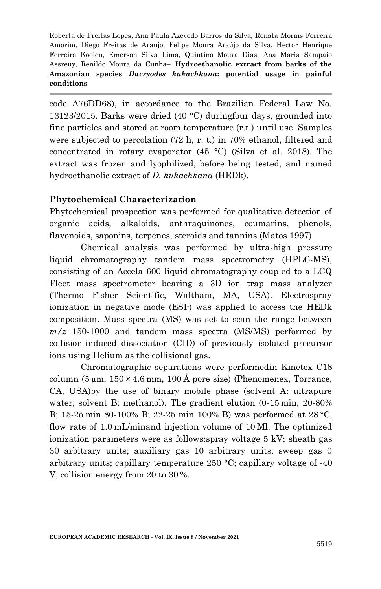code A76DD68), in accordance to the Brazilian Federal Law No. 13123/2015. Barks were dried (40 °C) duringfour days, grounded into fine particles and stored at room temperature (r.t.) until use. Samples were subjected to percolation (72 h, r. t.) in 70% ethanol, filtered and concentrated in rotary evaporator (45 °C) (Silva et al. 2018). The extract was frozen and lyophilized, before being tested, and named hydroethanolic extract of *D. kukachkana* (HEDk).

#### **Phytochemical Characterization**

Phytochemical prospection was performed for qualitative detection of organic acids, alkaloids, anthraquinones, coumarins, phenols, flavonoids, saponins, terpenes, steroids and tannins (Matos 1997).

Chemical analysis was performed by ultra-high pressure liquid chromatography tandem mass spectrometry (HPLC-MS), consisting of an Accela 600 liquid chromatography coupled to a LCQ Fleet mass spectrometer bearing a 3D ion trap mass analyzer (Thermo Fisher Scientific, Waltham, MA, USA). Electrospray ionization in negative mode (ESI- ) was applied to access the HEDk composition. Mass spectra (MS) was set to scan the range between *m/z* 150-1000 and tandem mass spectra (MS/MS) performed by collision-induced dissociation (CID) of previously isolated precursor ions using Helium as the collisional gas.

Chromatographic separations were performedin Kinetex C18 column  $(5 \mu m, 150 \times 4.6 \text{ mm}, 100 \text{ Å}$  pore size) (Phenomenex, Torrance, CA, USA)by the use of binary mobile phase (solvent A: ultrapure water; solvent B: methanol). The gradient elution (0-15 min, 20-80% B; 15-25 min 80-100% B; 22-25 min 100% B) was performed at 28 °C, flow rate of 1.0 mL/minand injection volume of 10 Μl. The optimized ionization parameters were as follows:spray voltage 5 kV; sheath gas 30 arbitrary units; auxiliary gas 10 arbitrary units; sweep gas 0 arbitrary units; capillary temperature 250 °C; capillary voltage of -40 V; collision energy from 20 to 30 %.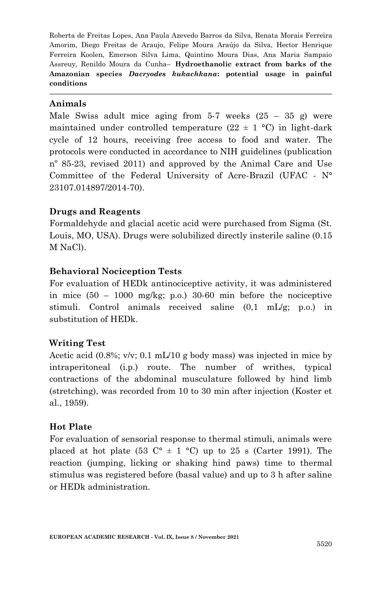#### **Animals**

Male Swiss adult mice aging from 5-7 weeks  $(25 - 35)$  g) were maintained under controlled temperature  $(22 \pm 1 \degree \text{C})$  in light-dark cycle of 12 hours, receiving free access to food and water. The protocols were conducted in accordance to NIH guidelines (publication nº 85-23, revised 2011) and approved by the Animal Care and Use Committee of the Federal University of Acre-Brazil (UFAC - N° 23107.014897/2014-70).

#### **Drugs and Reagents**

Formaldehyde and glacial acetic acid were purchased from Sigma (St. Louis, MO, USA). Drugs were solubilized directly insterile saline (0.15 M NaCl).

#### **Behavioral Nociception Tests**

For evaluation of HEDk antinociceptive activity, it was administered in mice  $(50 - 1000 \text{ mg/kg}; \text{ p.o.})$  30-60 min before the nociceptive stimuli. Control animals received saline (0,1 mL/g; p.o.) in substitution of HEDk.

## **Writing Test**

Acetic acid  $(0.8\%; v/v; 0.1 \text{ mL}/10 \text{ g}$  body mass) was injected in mice by intraperitoneal (i.p.) route. The number of writhes, typical contractions of the abdominal musculature followed by hind limb (stretching), was recorded from 10 to 30 min after injection (Koster et al., 1959).

#### **Hot Plate**

For evaluation of sensorial response to thermal stimuli, animals were placed at hot plate (53  $\mathbb{C}^{\circ} \pm 1$  °C) up to 25 s (Carter 1991). The reaction (jumping, licking or shaking hind paws) time to thermal stimulus was registered before (basal value) and up to 3 h after saline or HEDk administration.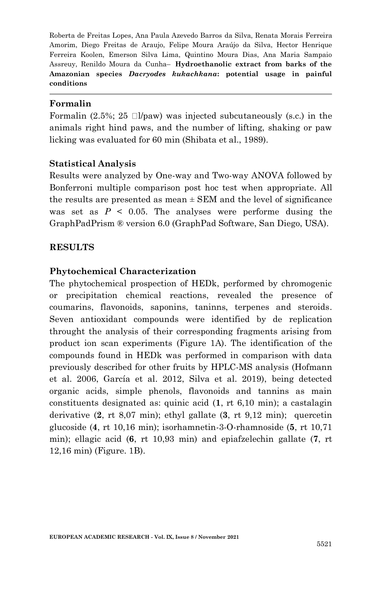#### **Formalin**

Formalin (2.5%; 25  $\square$ /paw) was injected subcutaneously (s.c.) in the animals right hind paws, and the number of lifting, shaking or paw licking was evaluated for 60 min (Shibata et al., 1989).

#### **Statistical Analysis**

Results were analyzed by One-way and Two-way ANOVA followed by Bonferroni multiple comparison post hoc test when appropriate. All the results are presented as mean  $\pm$  SEM and the level of significance was set as  $P \leq 0.05$ . The analyses were performe dusing the GraphPadPrism ® version 6.0 (GraphPad Software, San Diego, USA).

#### **RESULTS**

#### **Phytochemical Characterization**

The phytochemical prospection of HEDk, performed by chromogenic or precipitation chemical reactions, revealed the presence of coumarins, flavonoids, saponins, taninns, terpenes and steroids. Seven antioxidant compounds were identified by de replication throught the analysis of their corresponding fragments arising from product ion scan experiments (Figure 1A). The identification of the compounds found in HEDk was performed in comparison with data previously described for other fruits by HPLC-MS analysis (Hofmann et al. 2006, García et al. 2012, Silva et al. 2019), being detected organic acids, simple phenols, flavonoids and tannins as main constituents designated as: quinic acid (**1**, rt 6,10 min); a castalagin derivative (**2**, rt 8,07 min); ethyl gallate (**3**, rt 9,12 min); quercetin glucoside (**4**, rt 10,16 min); isorhamnetin-3-O-rhamnoside (**5**, rt 10,71 min); ellagic acid (**6**, rt 10,93 min) and epiafzelechin gallate (**7**, rt 12,16 min) (Figure. 1B).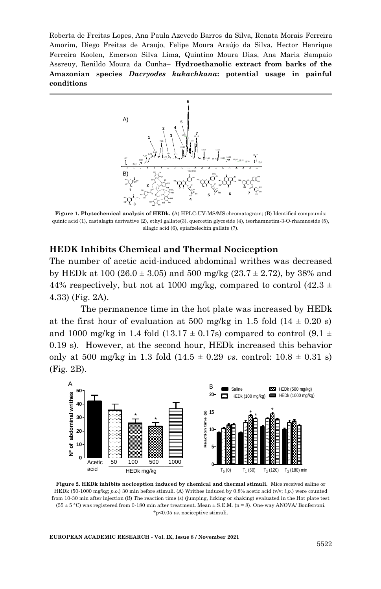

**Figure 1. Phytochemical analysis of HEDk. (**A) HPLC-UV-MS/MS chromatogram; (B) Identified compounds: quinic acid (1), castalagin derivative (2), ethyl gallate(3), quercetin glycoside (4), isorhamnetim-3-O-rhamnoside (5), ellagic acid (6), epiafzelechin gallate (7).

#### **HEDK Inhibits Chemical and Thermal Nociception**

The number of acetic acid-induced abdominal writhes was decreased by HEDk at 100 (26.0  $\pm$  3.05) and 500 mg/kg (23.7  $\pm$  2.72), by 38% and 44% respectively, but not at 1000 mg/kg, compared to control (42.3  $\pm$ ) 4.33) (Fig. 2A).

The permanence time in the hot plate was increased by HEDk at the first hour of evaluation at 500 mg/kg in 1.5 fold  $(14 \pm 0.20 \text{ s})$ and 1000 mg/kg in 1.4 fold (13.17  $\pm$  0.17s) compared to control (9.1  $\pm$ 0.19 s). However, at the second hour, HEDk increased this behavior only at 500 mg/kg in 1.3 fold  $(14.5 \pm 0.29 \text{ vs. control: } 10.8 \pm 0.31 \text{ s})$ (Fig. 2B).



**Figure 2. HEDk inhibits nociception induced by chemical and thermal stimuli.** Mice received saline or HEDk (50-1000 mg/kg; *p.o*.) 30 min before stimuli. (A) Writhes induced by 0.8% acetic acid (v/v; *i.p.*) were counted from 10-30 min after injection (B) The reaction time (s) (jumping, licking or shaking) evaluated in the Hot plate test  $(55 \pm 5 \degree C)$  was registered from 0-180 min after treatment. Mean  $\pm$  S.E.M. (n = 8). One-way ANOVA/ Bonferroni. \*p<0.05 *vs*. nociceptive stimuli.

**EUROPEAN ACADEMIC RESEARCH - Vol. IX, Issue 8 / November 2021**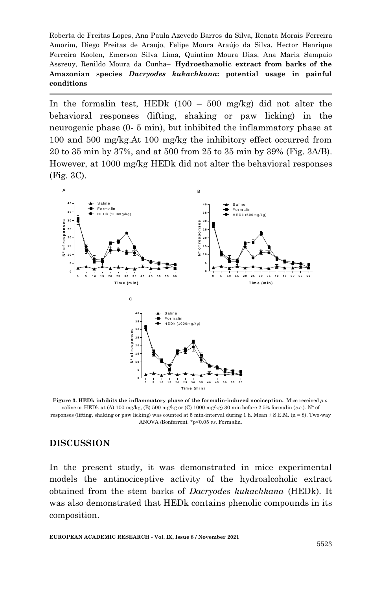In the formalin test, HEDk  $(100 - 500 \text{ mg/kg})$  did not alter the behavioral responses (lifting, shaking or paw licking) in the neurogenic phase (0- 5 min), but inhibited the inflammatory phase at 100 and 500 mg/kg.At 100 mg/kg the inhibitory effect occurred from 20 to 35 min by 37%, and at 500 from 25 to 35 min by 39% (Fig. 3A/B). However, at 1000 mg/kg HEDk did not alter the behavioral responses (Fig. 3C).



**Figure 3. HEDk inhibits the inflammatory phase of the formalin-induced nociception.** Mice received *p.o.* saline or HEDk at (A) 100 mg/kg, (B) 500 mg/kg or (C) 1000 mg/kg) 30 min before 2.5% formalin (*s.c.*). N° of responses (lifting, shaking or paw licking) was counted at 5 min-interval during 1 h. Mean ± S.E.M. (n = 8). Two-way ANOVA /Bonferroni. \*p<0.05 *vs*. Formalin.

#### **DISCUSSION**

In the present study, it was demonstrated in mice experimental models the antinociceptive activity of the hydroalcoholic extract obtained from the stem barks of *Dacryodes kukachkana* (HEDk). It was also demonstrated that HEDk contains phenolic compounds in its composition.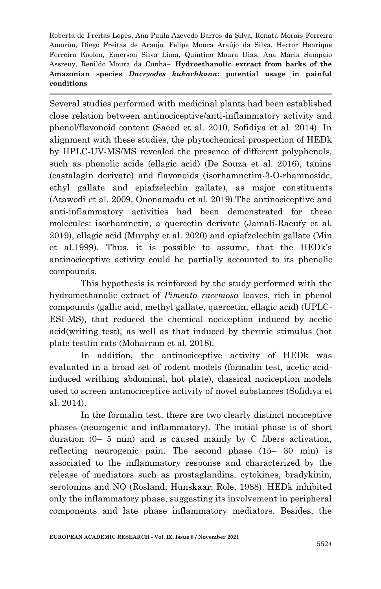Several studies performed with medicinal plants had been established close relation between antinociceptive/anti-inflammatory activity and phenol/flavonoid content (Saeed et al. 2010, Sofidiya et al. 2014). In alignment with these studies, the phytochemical prospection of HEDk by HPLC-UV-MS/MS revealed the presence of different polyphenols, such as phenolic acids (ellagic acid) (De Souza et al. 2016), tanins (castalagin derivate) and flavonoids (isorhamnetim-3-O-rhamnoside, ethyl gallate and epiafzelechin gallate), as major constituents (Atawodi et al. 2009, Ononamadu et al. 2019).The antinociceptive and anti-inflammatory activities had been demonstrated for these molecules: isorhamnetin, a quercetin derivate (Jamali-Raeufy et al. 2019), ellagic acid (Murphy et al. 2020) and epiafzelechin gallate (Min et al.1999). Thus, it is possible to assume, that the HEDk's antinociceptive activity could be partially accounted to its phenolic compounds.

This hypothesis is reinforced by the study performed with the hydromethanolic extract of *Pimenta racemosa* leaves, rich in phenol compounds (gallic acid, methyl gallate, quercetin, ellagic acid) (UPLC-ESI-MS), that reduced the chemical nociception induced by acetic acid(writing test), as well as that induced by thermic stimulus (hot plate test)in rats (Moharram et al. 2018).

In addition, the antinociceptive activity of HEDk was evaluated in a broad set of rodent models (formalin test, acetic acidinduced writhing abdominal, hot plate), classical nociception models used to screen antinociceptive activity of novel substances (Sofidiya et al. 2014).

In the formalin test, there are two clearly distinct nociceptive phases (neurogenic and inflammatory). The initial phase is of short duration (0– 5 min) and is caused mainly by C fibers activation, reflecting neurogenic pain. The second phase (15– 30 min) is associated to the inflammatory response and characterized by the release of mediators such as prostaglandins, cytokines, bradykinin, serotonins and NO (Rosland; Hunskaar; Role, 1988). HEDk inhibited only the inflammatory phase, suggesting its involvement in peripheral components and late phase inflammatory mediators. Besides, the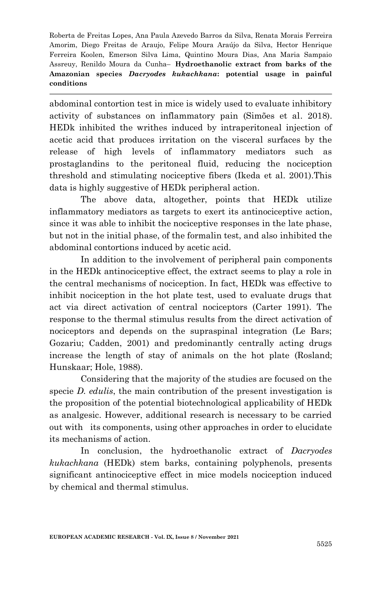abdominal contortion test in mice is widely used to evaluate inhibitory activity of substances on inflammatory pain (Simões et al. 2018). HEDk inhibited the writhes induced by intraperitoneal injection of acetic acid that produces irritation on the visceral surfaces by the release of high levels of inflammatory mediators such as prostaglandins to the peritoneal fluid, reducing the nociception threshold and stimulating nociceptive fibers (Ikeda et al. 2001).This data is highly suggestive of HEDk peripheral action.

The above data, altogether, points that HEDk utilize inflammatory mediators as targets to exert its antinociceptive action, since it was able to inhibit the nociceptive responses in the late phase, but not in the initial phase, of the formalin test, and also inhibited the abdominal contortions induced by acetic acid.

In addition to the involvement of peripheral pain components in the HEDk antinociceptive effect, the extract seems to play a role in the central mechanisms of nociception. In fact, HEDk was effective to inhibit nociception in the hot plate test, used to evaluate drugs that act via direct activation of central nociceptors (Carter 1991). The response to the thermal stimulus results from the direct activation of nociceptors and depends on the supraspinal integration (Le Bars; Gozariu; Cadden, 2001) and predominantly centrally acting drugs increase the length of stay of animals on the hot plate (Rosland; Hunskaar; Hole, 1988).

Considering that the majority of the studies are focused on the specie *D. edulis*, the main contribution of the present investigation is the proposition of the potential biotechnological applicability of HEDk as analgesic. However, additional research is necessary to be carried out with its components, using other approaches in order to elucidate its mechanisms of action.

In conclusion, the hydroethanolic extract of *Dacryodes kukachkana* (HEDk) stem barks, containing polyphenols, presents significant antinociceptive effect in mice models nociception induced by chemical and thermal stimulus.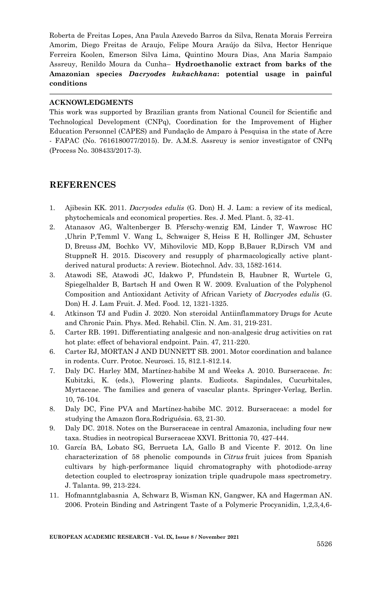#### **ACKNOWLEDGMENTS**

This work was supported by Brazilian grants from National Council for Scientific and Technological Development (CNPq), Coordination for the Improvement of Higher Education Personnel (CAPES) and Fundação de Amparo à Pesquisa in the state of Acre - FAPAC (No. 7616180077/2015). Dr. A.M.S. Assreuy is senior investigator of CNPq (Process No. 308433/2017-3).

#### **REFERENCES**

- 1. Ajibesin KK. 2011. *Dacryodes edulis* (G. Don) H. J. Lam: a review of its medical, phytochemicals and economical properties. Res. J. Med. Plant. 5, 32-41.
- 2. Atanasov AG, [Waltenberger](https://www.ncbi.nlm.nih.gov/pubmed/?term=Waltenberger%20B%5BAuthor%5D&cauthor=true&cauthor_uid=26281720) B. [Pferschy-wenzig](https://www.ncbi.nlm.nih.gov/pubmed/?term=Pferschy-Wenzig%20EM%5BAuthor%5D&cauthor=true&cauthor_uid=26281720) EM, [Linder](https://www.ncbi.nlm.nih.gov/pubmed/?term=Linder%20T%5BAuthor%5D&cauthor=true&cauthor_uid=26281720) T, Wawrosc [HC](https://www.ncbi.nlm.nih.gov/pubmed/?term=Wawrosch%20C%5BAuthor%5D&cauthor=true&cauthor_uid=26281720)  [,Uhrin](https://www.ncbi.nlm.nih.gov/pubmed/?term=Uhrin%20P%5BAuthor%5D&cauthor=true&cauthor_uid=26281720) [P,Temml](https://www.ncbi.nlm.nih.gov/pubmed/?term=Temml%20V%5BAuthor%5D&cauthor=true&cauthor_uid=26281720) V. [Wang](https://www.ncbi.nlm.nih.gov/pubmed/?term=Wang%20L%5BAuthor%5D&cauthor=true&cauthor_uid=26281720) L, [Schwaiger](https://www.ncbi.nlm.nih.gov/pubmed/?term=Schwaiger%20S%5BAuthor%5D&cauthor=true&cauthor_uid=26281720) S, Heiss E H, [Rollinger](https://www.ncbi.nlm.nih.gov/pubmed/?term=Rollinger%20JM%5BAuthor%5D&cauthor=true&cauthor_uid=26281720) JM, [Schuster](https://www.ncbi.nlm.nih.gov/pubmed/?term=Schuster%20D%5BAuthor%5D&cauthor=true&cauthor_uid=26281720) D, [Breuss](https://www.ncbi.nlm.nih.gov/pubmed/?term=Breuss%20JM%5BAuthor%5D&cauthor=true&cauthor_uid=26281720) JM, [Bochko](https://www.ncbi.nlm.nih.gov/pubmed/?term=Bochkov%20V%5BAuthor%5D&cauthor=true&cauthor_uid=26281720) VV, [Mihovilovic](https://www.ncbi.nlm.nih.gov/pubmed/?term=Mihovilovic%20MD%5BAuthor%5D&cauthor=true&cauthor_uid=26281720) MD, [Kopp](https://www.ncbi.nlm.nih.gov/pubmed/?term=Kopp%20B%5BAuthor%5D&cauthor=true&cauthor_uid=26281720) [B,Bauer](https://www.ncbi.nlm.nih.gov/pubmed/?term=Bauer%20R%5BAuthor%5D&cauthor=true&cauthor_uid=26281720) [R,Dirsch](https://www.ncbi.nlm.nih.gov/pubmed/?term=Dirsch%20VM%5BAuthor%5D&cauthor=true&cauthor_uid=26281720) VM and [StuppneR](https://www.ncbi.nlm.nih.gov/pubmed/?term=Stuppner%20H%5BAuthor%5D&cauthor=true&cauthor_uid=26281720) H. 2015. Discovery and resupply of pharmacologically active plantderived natural products: A review[. Biotechnol. Adv. 33,](https://www.ncbi.nlm.nih.gov/entrez/eutils/elink.fcgi?dbfrom=pubmed&retmode=ref&cmd=prlinks&id=26281720) 1582-1614.
- 3. Atawodi SE, Atawodi JC, Idakwo P, Pfundstein B, Haubner R, Wurtele G, Spiegelhalder B, Bartsch H and Owen R W. 2009. Evaluation of the Polyphenol Composition and Antioxidant Activity of African Variety of *Dacryodes edulis* (G. Don) H. J. Lam Fruit. J. Med. Food. 12, 1321-1325.
- 4. Atkinson TJ and Fudin J. 2020. Non steroidal Antiinflammatory Drugs for Acute and Chronic Pain. Phys. Med. Rehabil. Clin. N. Am. 31, 219-231.
- 5. Carter RB. 1991. Differentiating analgesic and non-analgesic drug activities on rat hot plate: effect of behavioral endpoint. Pain. 47, 211-220.
- 6. Carter RJ, MORTAN J AND DUNNETT SB. 2001. Motor coordination and balance in rodents. Curr. Protoc. Neurosci. 15, 812.1-812.14.
- 7. Daly DC. Harley MM, Martínez-habibe M and Weeks A. 2010. Burseraceae. *In*: Kubitzki, K. (eds.), Flowering plants. Eudicots. Sapindales, Cucurbitales, Myrtaceae. The families and genera of vascular plants. Springer-Verlag, Berlin. 10, 76-104.
- 8. Daly DC, Fine PVA and Martínez-habibe MC. 2012. Burseraceae: a model for studying the Amazon flora.Rodriguésia. 63, 21-30.
- 9. Daly DC. 2018. Notes on the Burseraceae in central Amazonia, including four new taxa. Studies in neotropical Burseraceae XXVI. Brittonia 70, 427-444.
- 10. García BA, Lobato SG, Berrueta LA, Gallo B and [Vicente](https://pubmed.ncbi.nlm.nih.gov/?term=Vicente+F&cauthor_id=22967544) F. 2012. On line characterization of 58 phenolic compounds in *Citrus* fruit juices from Spanish cultivars by high-performance liquid chromatography with photodiode-array detection coupled to electrospray ionization triple quadrupole mass spectrometry. J. [Talanta.](https://www.sciencedirect.com/science/journal/00399140) 99, 213-224.
- 11. [Hofmannt](https://pubs.acs.org/action/doSearch?field1=Contrib&text1=Thomas++Hofmann)glabasnia A, Schwarz B, Wisman KN, Gangwer, KA and Hagerman AN. 2006. Protein Binding and Astringent Taste of a Polymeric Procyanidin, 1,2,3,4,6-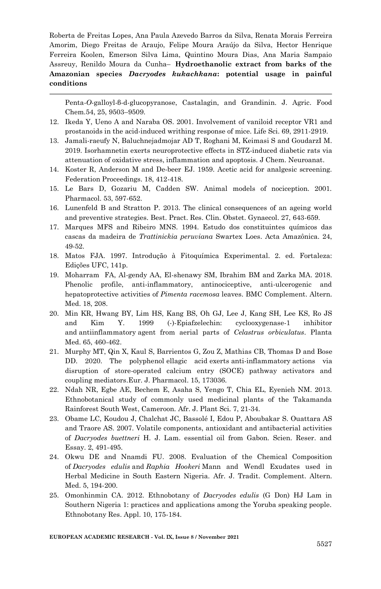Penta-*O*-galloyl-β-d-glucopyranose, Castalagin, and Grandinin. J. Agric. Food Chem*.*54, 25, 9503–9509.

- 12. Ikeda Y, Ueno A and Naraba OS. 2001. Involvement of vaniloid receptor VR1 and prostanoids in the acid-induced writhing response of mice. Life Sci. 69, 2911-2919.
- 13. Jamali-raeufy N, [Baluchnejadmojar](https://www.ncbi.nlm.nih.gov/pubmed/?term=Baluchnejadmojarad%20T%5BAuthor%5D&cauthor=true&cauthor_uid=31698018) AD T, [Roghani](https://www.ncbi.nlm.nih.gov/pubmed/?term=Roghani%20M%5BAuthor%5D&cauthor=true&cauthor_uid=31698018) M, [Keimasi S](https://www.ncbi.nlm.nih.gov/pubmed/?term=Keimasi%20S%5BAuthor%5D&cauthor=true&cauthor_uid=31698018) and [GoudarzI M.](https://www.ncbi.nlm.nih.gov/pubmed/?term=Goudarzi%20M%5BAuthor%5D&cauthor=true&cauthor_uid=31698018) 2019. Isorhamnetin exerts neuroprotective effects in STZ-induced diabetic rats via attenuation of oxidative stress, inflammation and apoptosis[. J Chem. Neuroanat.](https://www.sciencedirect.com/science/journal/08910618)
- 14. Koster R, Anderson M and De-beer EJ. 1959. Acetic acid for analgesic screening. Federation Proceedings. 18, 412-418.
- 15. Le Bars D, Gozariu M, Cadden SW. Animal models of nociception. 2001. Pharmacol. 53, 597-652.
- 16. Lunenfeld B and Stratton P. 2013. The clinical consequences of an ageing world and preventive strategies. Best. Pract. Res. Clin. Obstet. Gynaecol. 27, 643-659.
- 17. Marques MFS and Ribeiro MNS. 1994. Estudo dos constituintes químicos das cascas da madeira de *Trattinickia peruviana* Swartex Loes. Acta Amazônica. 24, 49-52.
- 18. Matos FJA. 1997. Introdução à Fitoquímica Experimental. 2. ed. Fortaleza: Edições UFC, 141p.
- 19. Moharram FA, Al-gendy AA, El-shenawy SM, Ibrahim BM and Zarka MA. 2018. Phenolic profile, anti-inflammatory, antinociceptive, anti-ulcerogenic and hepatoprotective activities of *Pimenta racemosa* leaves. BMC Complement. Altern. Med. 18, 208.
- 20. Min KR, Hwang BY, Lim HS, Kang BS, Oh GJ, Lee J, Kang SH, Lee KS, Ro JS and Kim Y. 1999 (-)-Epiafzelechin: cyclooxygenase-1 inhibitor and antiinflammatory agent from aerial parts of *Celastrus orbiculatus*. Planta Med. 65, 460-462.
- 21. Murphy MT, Qin X, Kaul S, Barrientos G, Zou Z, Mathias CB, Thomas D and Bose DD. 2020. The polyphenol ellagic acid exerts anti-inflammatory actions via disruption of store-operated calcium entry (SOCE) pathway activators and coupling mediators.Eur. J. Pharmacol. 15, 173036.
- 22. Ndah NR, Egbe AE, Bechem E, Asaha S, Yengo T, Chia EL, Eyenieh NM. 2013. Ethnobotanical study of commonly used medicinal plants of the Takamanda Rainforest South West, Cameroon. Afr. J. Plant Sci. 7, 21-34.
- 23. Obame LC, Koudou J, Chalchat JC, Bassolé I, Edou P, Aboubakar S. Ouattara AS and Traore AS. 2007. Volatile components, antioxidant and antibacterial activities of *Dacryodes buettneri* H. J. Lam. essential oil from Gabon. Scien. Reser. and Essay. 2, 491-495.
- 24. [Okwu](https://www.ncbi.nlm.nih.gov/pubmed/?term=Okwu%20DE%5BAuthor%5D&cauthor=true&cauthor_uid=20161937) DE and [Nnamdi](https://www.ncbi.nlm.nih.gov/pubmed/?term=Nnamdi%20FU%5BAuthor%5D&cauthor=true&cauthor_uid=20161937) FU. 2008. Evaluation of the Chemical Composition of *Dacryodes edulis* and *Raphia Hookeri* Mann and Wendl Exudates used in Herbal Medicine in South Eastern Nigeria. [Afr. J. Tradit. Complement. Altern.](https://www.ncbi.nlm.nih.gov/pmc/articles/PMC2816547/)  [Med.](https://www.ncbi.nlm.nih.gov/pmc/articles/PMC2816547/) 5, 194-200.
- 25. Omonhinmin CA. 2012. Ethnobotany of *Dacryodes edulis* (G Don) HJ Lam in Southern Nigeria 1: practices and applications among the Yoruba speaking people. Ethnobotany Res. Appl. 10, 175-184.